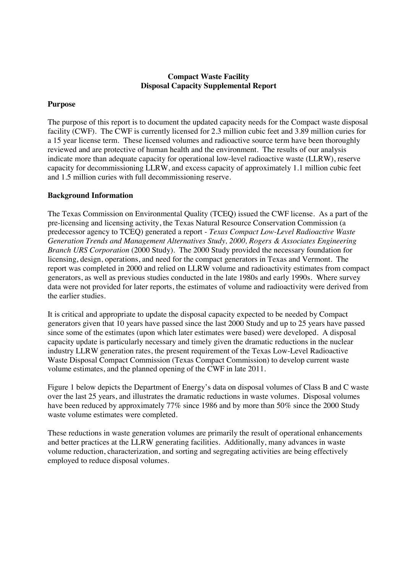# **Compact Waste Facility Disposal Capacity Supplemental Report**

# **Purpose**

The purpose of this report is to document the updated capacity needs for the Compact waste disposal facility (CWF). The CWF is currently licensed for 2.3 million cubic feet and 3.89 million curies for a 15 year license term. These licensed volumes and radioactive source term have been thoroughly reviewed and are protective of human health and the environment. The results of our analysis indicate more than adequate capacity for operational low-level radioactive waste (LLRW), reserve capacity for decommissioning LLRW, and excess capacity of approximately 1.1 million cubic feet and 1.5 million curies with full decommissioning reserve.

### **Background Information**

The Texas Commission on Environmental Quality (TCEQ) issued the CWF license. As a part of the pre-licensing and licensing activity, the Texas Natural Resource Conservation Commission (a predecessor agency to TCEQ) generated a report - *Texas Compact Low-Level Radioactive Waste Generation Trends and Management Alternatives Study, 2000, Rogers & Associates Engineering Branch URS Corporation* (2000 Study)*.* The 2000 Study provided the necessary foundation for licensing, design, operations, and need for the compact generators in Texas and Vermont. The report was completed in 2000 and relied on LLRW volume and radioactivity estimates from compact generators, as well as previous studies conducted in the late 1980s and early 1990s. Where survey data were not provided for later reports, the estimates of volume and radioactivity were derived from the earlier studies.

It is critical and appropriate to update the disposal capacity expected to be needed by Compact generators given that 10 years have passed since the last 2000 Study and up to 25 years have passed since some of the estimates (upon which later estimates were based) were developed. A disposal capacity update is particularly necessary and timely given the dramatic reductions in the nuclear industry LLRW generation rates, the present requirement of the Texas Low-Level Radioactive Waste Disposal Compact Commission (Texas Compact Commission) to develop current waste volume estimates, and the planned opening of the CWF in late 2011.

Figure 1 below depicts the Department of Energy's data on disposal volumes of Class B and C waste over the last 25 years, and illustrates the dramatic reductions in waste volumes. Disposal volumes have been reduced by approximately 77% since 1986 and by more than 50% since the 2000 Study waste volume estimates were completed.

These reductions in waste generation volumes are primarily the result of operational enhancements and better practices at the LLRW generating facilities. Additionally, many advances in waste volume reduction, characterization, and sorting and segregating activities are being effectively employed to reduce disposal volumes.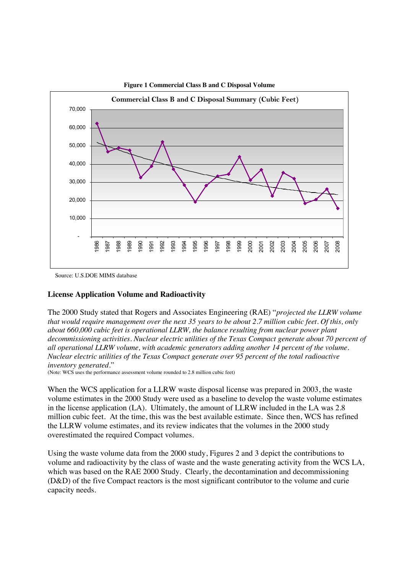

**Figure 1 Commercial Class B and C Disposal Volume**

#### **License Application Volume and Radioactivity**

The 2000 Study stated that Rogers and Associates Engineering (RAE) "*projected the LLRW volume that would require management over the next 35 years to be about 2.7 million cubic feet. Of this, only about 660,000 cubic feet is operational LLRW, the balance resulting from nuclear power plant decommissioning activities. Nuclear electric utilities of the Texas Compact generate about 70 percent of all operational LLRW volume, with academic generators adding another 14 percent of the volume. Nuclear electric utilities of the Texas Compact generate over 95 percent of the total radioactive inventory generated.*"

(Note: WCS uses the performance assessment volume rounded to 2.8 million cubic feet)

When the WCS application for a LLRW waste disposal license was prepared in 2003, the waste volume estimates in the 2000 Study were used as a baseline to develop the waste volume estimates in the license application (LA). Ultimately, the amount of LLRW included in the LA was 2.8 million cubic feet. At the time, this was the best available estimate. Since then, WCS has refined the LLRW volume estimates, and its review indicates that the volumes in the 2000 study overestimated the required Compact volumes.

Using the waste volume data from the 2000 study, Figures 2 and 3 depict the contributions to volume and radioactivity by the class of waste and the waste generating activity from the WCS LA, which was based on the RAE 2000 Study. Clearly, the decontamination and decommissioning (D&D) of the five Compact reactors is the most significant contributor to the volume and curie capacity needs.

Source: U.S.DOE MIMS database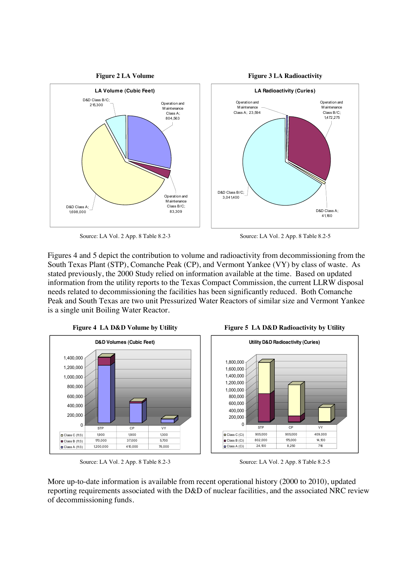

Source: LA Vol. 2 App. 8 Table 8.2-3 Source: LA Vol. 2 App. 8 Table 8.2-5

Figures 4 and 5 depict the contribution to volume and radioactivity from decommissioning from the South Texas Plant (STP), Comanche Peak (CP), and Vermont Yankee (VY) by class of waste. As stated previously, the 2000 Study relied on information available at the time. Based on updated information from the utility reports to the Texas Compact Commission, the current LLRW disposal needs related to decommissioning the facilities has been significantly reduced. Both Comanche Peak and South Texas are two unit Pressurized Water Reactors of similar size and Vermont Yankee is a single unit Boiling Water Reactor.



Source: LA Vol. 2 App. 8 Table 8.2-3 Source: LA Vol. 2 App. 8 Table 8.2-5





More up-to-date information is available from recent operational history (2000 to 2010), updated reporting requirements associated with the D&D of nuclear facilities, and the associated NRC review of decommissioning funds.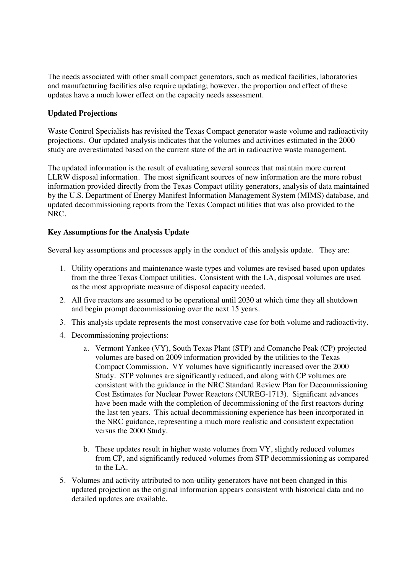The needs associated with other small compact generators, such as medical facilities, laboratories and manufacturing facilities also require updating; however, the proportion and effect of these updates have a much lower effect on the capacity needs assessment.

# **Updated Projections**

Waste Control Specialists has revisited the Texas Compact generator waste volume and radioactivity projections. Our updated analysis indicates that the volumes and activities estimated in the 2000 study are overestimated based on the current state of the art in radioactive waste management.

The updated information is the result of evaluating several sources that maintain more current LLRW disposal information. The most significant sources of new information are the more robust information provided directly from the Texas Compact utility generators, analysis of data maintained by the U.S. Department of Energy Manifest Information Management System (MIMS) database, and updated decommissioning reports from the Texas Compact utilities that was also provided to the NRC.

# **Key Assumptions for the Analysis Update**

Several key assumptions and processes apply in the conduct of this analysis update. They are:

- 1. Utility operations and maintenance waste types and volumes are revised based upon updates from the three Texas Compact utilities. Consistent with the LA, disposal volumes are used as the most appropriate measure of disposal capacity needed.
- 2. All five reactors are assumed to be operational until 2030 at which time they all shutdown and begin prompt decommissioning over the next 15 years.
- 3. This analysis update represents the most conservative case for both volume and radioactivity.
- 4. Decommissioning projections:
	- a. Vermont Yankee (VY), South Texas Plant (STP) and Comanche Peak (CP) projected volumes are based on 2009 information provided by the utilities to the Texas Compact Commission. VY volumes have significantly increased over the 2000 Study. STP volumes are significantly reduced, and along with CP volumes are consistent with the guidance in the NRC Standard Review Plan for Decommissioning Cost Estimates for Nuclear Power Reactors (NUREG-1713). Significant advances have been made with the completion of decommissioning of the first reactors during the last ten years. This actual decommissioning experience has been incorporated in the NRC guidance, representing a much more realistic and consistent expectation versus the 2000 Study.
	- b. These updates result in higher waste volumes from VY, slightly reduced volumes from CP, and significantly reduced volumes from STP decommissioning as compared to the LA.
- 5. Volumes and activity attributed to non-utility generators have not been changed in this updated projection as the original information appears consistent with historical data and no detailed updates are available.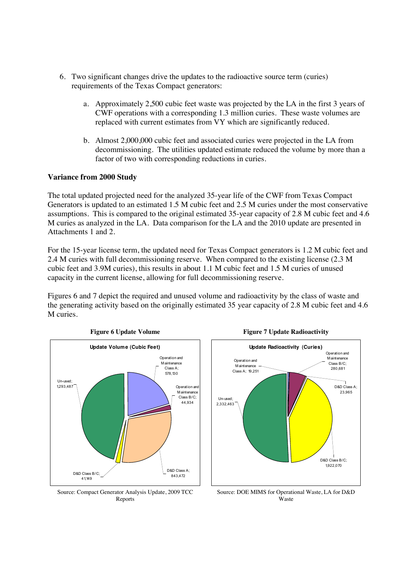- 6. Two significant changes drive the updates to the radioactive source term (curies) requirements of the Texas Compact generators:
	- a. Approximately 2,500 cubic feet waste was projected by the LA in the first 3 years of CWF operations with a corresponding 1.3 million curies. These waste volumes are replaced with current estimates from VY which are significantly reduced.
	- b. Almost 2,000,000 cubic feet and associated curies were projected in the LA from decommissioning. The utilities updated estimate reduced the volume by more than a factor of two with corresponding reductions in curies.

# **Variance from 2000 Study**

The total updated projected need for the analyzed 35-year life of the CWF from Texas Compact Generators is updated to an estimated 1.5 M cubic feet and 2.5 M curies under the most conservative assumptions. This is compared to the original estimated 35-year capacity of 2.8 M cubic feet and 4.6 M curies as analyzed in the LA. Data comparison for the LA and the 2010 update are presented in Attachments 1 and 2.

For the 15-year license term, the updated need for Texas Compact generators is 1.2 M cubic feet and 2.4 M curies with full decommissioning reserve. When compared to the existing license (2.3 M cubic feet and 3.9M curies), this results in about 1.1 M cubic feet and 1.5 M curies of unused capacity in the current license, allowing for full decommissioning reserve.

Figures 6 and 7 depict the required and unused volume and radioactivity by the class of waste and the generating activity based on the originally estimated 35 year capacity of 2.8 M cubic feet and 4.6 M curies.



Source: Compact Generator Analysis Update, 2009 TCC Reports



#### **Figure 6 Update Volume Figure 7 Update Radioactivity**

Source: DOE MIMS for Operational Waste, LA for D&D Waste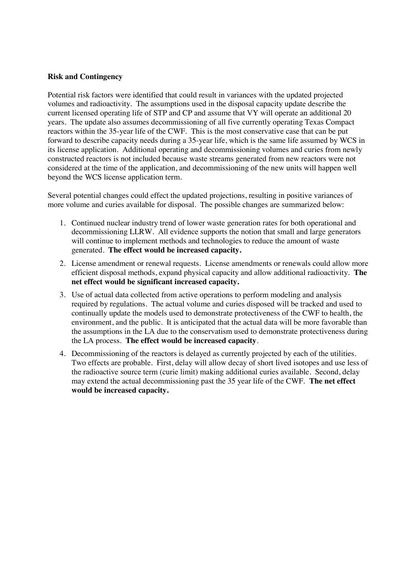## **Risk and Contingency**

Potential risk factors were identified that could result in variances with the updated projected volumes and radioactivity. The assumptions used in the disposal capacity update describe the current licensed operating life of STP and CP and assume that VY will operate an additional 20 years. The update also assumes decommissioning of all five currently operating Texas Compact reactors within the 35-year life of the CWF. This is the most conservative case that can be put forward to describe capacity needs during a 35-year life, which is the same life assumed by WCS in its license application. Additional operating and decommissioning volumes and curies from newly constructed reactors is not included because waste streams generated from new reactors were not considered at the time of the application, and decommissioning of the new units will happen well beyond the WCS license application term.

Several potential changes could effect the updated projections, resulting in positive variances of more volume and curies available for disposal. The possible changes are summarized below:

- 1. Continued nuclear industry trend of lower waste generation rates for both operational and decommissioning LLRW. All evidence supports the notion that small and large generators will continue to implement methods and technologies to reduce the amount of waste generated. **The effect would be increased capacity.**
- 2. License amendment or renewal requests. License amendments or renewals could allow more efficient disposal methods, expand physical capacity and allow additional radioactivity. **The net effect would be significant increased capacity.**
- 3. Use of actual data collected from active operations to perform modeling and analysis required by regulations. The actual volume and curies disposed will be tracked and used to continually update the models used to demonstrate protectiveness of the CWF to health, the environment, and the public. It is anticipated that the actual data will be more favorable than the assumptions in the LA due to the conservatism used to demonstrate protectiveness during the LA process. **The effect would be increased capacity**.
- 4. Decommissioning of the reactors is delayed as currently projected by each of the utilities. Two effects are probable. First, delay will allow decay of short lived isotopes and use less of the radioactive source term (curie limit) making additional curies available. Second, delay may extend the actual decommissioning past the 35 year life of the CWF. **The net effect would be increased capacity.**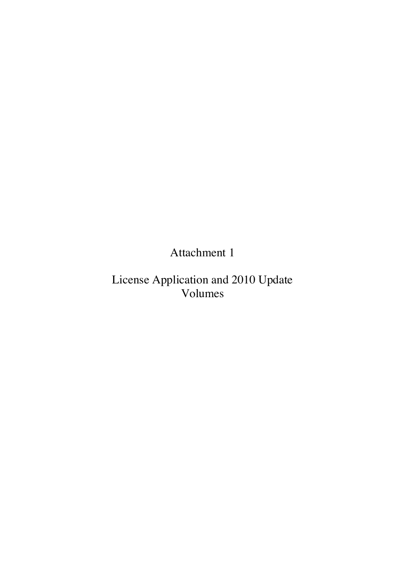Attachment 1

License Application and 2010 Update Volumes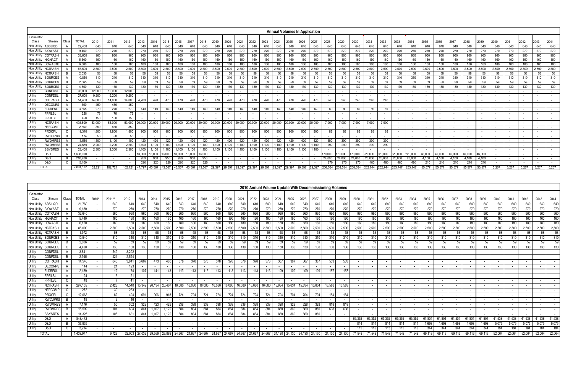|                   |                     |              |                  |         |         |         |            |            |               |            |            |            |        |        |        |        |        |        | <b>Annual Volumes In Application</b> |        |        |               |               |         |                    |               |               |         |        |        |        |        |        |       |       |                          |       |       |
|-------------------|---------------------|--------------|------------------|---------|---------|---------|------------|------------|---------------|------------|------------|------------|--------|--------|--------|--------|--------|--------|--------------------------------------|--------|--------|---------------|---------------|---------|--------------------|---------------|---------------|---------|--------|--------|--------|--------|--------|-------|-------|--------------------------|-------|-------|
| Generato<br>Class | Stream              | Class        | <b>TOTAL</b>     | 2010    | 2011    | 2012    | 2013       | 2014       | 2015          | 2016       | 2017       | 2018       | 2019   | 2020   | 2021   | 2022   | 2023   | 2024   | 2025                                 | 2026   | 2027   | 2028          | 2029          | 2030    | 2031               | 2032          | 2033          | 2034    | 2035   | 2036   | 2037   | 2038   | 2039   | 2040  | 2041  | 2042                     | 2043  | 2044  |
|                   | Non Utility ABSLIQD |              | 22,400           | 640     | 640     | 640     | 640        | 640        | 640           | 640        | 640        | 640        | 640    | 640    | 640    | 640    | 640    | 640    | 640                                  | 640    | 640    | 640           | 640           | 640     | 640                | 640           | 640           | 640     | 640    | 640    | 640    | 640    | 640    | 640   | 640   | 640                      | 640   | 640   |
| Non Utility       | <b>BIOWAST</b>      |              | 9,450            | 270     | 270     | 270     | 270        | 270        | 270           | 270        | 270        | 270        | 270    | 270    | 270    | 270    | 270    | 270    | 270                                  | 270    | 270    | 270           | 270           | 270     | 270                | 270           | 270           | 270     | 270    | 270    | 270    | 270    | 270    | 270   | 270   | 270                      | 270   | 270   |
| Non Utility       | <b>COTRASH</b>      |              | 33,600           | 960     | 960     | 960     | 960        | 960        | 960           | 960        | 960        | 960        | 960    | 960    | 960    | 960    | 960    | 960    | 960                                  | 960    | 960    | 960           | 960           | 960     | 960                | 960           | 960           | 960     | 960    | 960    | 960    | 960    | 960    | 960   | 960   | 960                      | 960   | 960   |
| Non Utility       | <b>HIGHACT</b>      |              | 5,600            | 160     | 160     | 160     | 160        | 160        | 160           | 160        | 160        | 160        | 160    | 160    | 160    | 160    | 160    | 160    | 160                                  | 160    | 160    | 160           | 160           | 160     | 160                | 160           | 160           | 160     | 160    | 160    | 160    | 160    | 160    | 160   | 160   | 160                      | 160   | 160   |
| Non Utility       | LOWASTE             |              | 6.300            | 180     | 180     | 180     | 180        | 180        | 180           | 180        | 180        | 180        | 180    | 180    | 180    | 180    | 180    | 180    | 180                                  | 180    | 180    | 180           | 180           | 180     | 180                | 180           | 180           | 180     | 180    | 180    | 180    | 180    | 180    | 180   | 180   | 180                      | 180   | 180   |
| Non Utility       | <b>NCTRASH</b>      |              | 87,500           | 2,500   | 2,500   | 2,500   | 2,500      | 2,500      | 2.500         | 2,500      | 2,500      | 2,500      | 2.500  | 2,500  | 2,500  | 2,500  | 2,500  | 2,500  | 2,500                                | 2,500  | 2,500  | 2,500         | 2,500         | 2,500   | 2,500              | 2,500         | 2,500         | 2,500   | 2,500  | 2,500  | 2,500  | 2,500  | 2,500  | 2,500 | 2,500 | 2,500                    | 2,500 | 2,500 |
| Non Utility       | <b>NCTRASH</b>      |              | 2,030            | 58      | 58      | 58      | 58         | 58         | 58            | 58         | 58         | 58         | 58     | 58     | 58     | 58     | 58     | 58     | 58                                   | 58     | 58     | 58            | 58            | 58      | 58                 | 58            | 58            | 58      | 58     | 58     | 58     | 58     | 58     | 58    | 58    | 58                       | 58    | 58    |
| Non Utility       | <b>SOURCES</b>      |              | 10.850           | 310     | 310     | 310     | 310        | 310        | 310           | 310        | 310        | 310        | 310    | 310    | 310    | 310    | 310    | 310    | 310                                  | 310    | 310    | 310           | 310           | 310     | 310                | 310           | 310           | 310     | 310    | 310    | 310    | 310    | 310    | 310   | 310   | 310                      | 310   | 310   |
| Non Utility       | SOURCES             |              | 2.065            | 59      | 59      | 59      | 59         | 59         | 59            | 59         | 59         | 59         | 59     | 59     | 59     | 59     | 59     | 59     | 59                                   | 59     | 59     | 59            | 59            | 59      | 59                 | 59            | 59            | 59      | 59     | 59     | 59     | 59     | 59     | 59    | 59    | 59                       | 59    | 59    |
| Non Utility       | SOURCES             |              | 4.550            | 130     | 130     | 130     | 130        | 130        | 130           | 130        | 130        | 130        | 130    | 130    | 130    | 130    | 130    | 130    | 130                                  | 130    | 130    | 130           | 130           | 130     | 130                | 130           | 130           | 130     | 130    | 130    | 130    | 130    | 130    | 130   | 130   | 130                      | 130   | 130   |
| Utility           | <b>CONFDSL</b>      |              | 36,000           | 12,000  | 12,000  | 12,000  |            |            |               |            |            |            |        |        |        |        |        |        |                                      |        |        |               |               |         |                    |               |               |         |        |        |        |        |        |       |       |                          |       |       |
| Utility           | <b>CONFDSL</b>      |              | 27,600           | 9,200   | 9.200   | 9.200   |            |            |               |            |            |            |        |        |        |        |        |        |                                      |        |        |               | $\sim$        |         |                    |               |               |         |        |        |        |        |        |       |       |                          |       |       |
| Utility           | <b>COTRASH</b>      |              | 54.480           | 14,000  | 14,000  | 14,000  | 4.700      | 470        | 470           | 470        | 470        | 470        | 470    | 470    | 470    | 470    | 470    | 470    | 470                                  | 470    | 470    | 240           | 240           | 240     | 240                | 240           |               |         |        |        |        |        |        |       |       |                          |       |       |
| Utility           | <b>DECONRS</b>      |              | 1.350            | 450     | 450     | 450     |            |            |               | $\sim$     | $\sim$     | $\sim$     |        |        |        |        |        |        |                                      |        |        |               | $\sim$        |         |                    |               |               |         |        |        |        |        |        |       |       |                          |       |       |
| Utility           | <b>FLDRFSL</b>      |              | 3,355            | 270     | 270     | 270     | 140        | 140        | 140           | 140        | 140        | 140        | 140    | 140    | 140    | 140    | 140    | 140    | 140                                  | 140    | 140    | 89            | 89            | 89      | 89                 | 89            |               |         |        |        |        |        |        |       |       |                          |       |       |
| Utility           | FPFILSL             | A            | 228              | 76      | 76      | 76      |            |            |               |            |            |            |        |        |        |        |        |        |                                      |        |        |               | $\sim$        |         |                    |               |               |         |        |        |        |        |        |       |       |                          |       |       |
| Utility           | FPFILSL             | C.           | 450              | 150     | 150     | 150     |            |            |               |            |            |            |        |        |        |        |        |        |                                      |        |        |               |               |         |                    |               |               |         |        |        |        |        |        |       |       |                          |       |       |
| Utility           | <b>NCTRASH</b>      |              | 498,500          | 53,000  | 53,000  | 53,000  | 20,000     | 20,000     | 20,000        | 20,000     | 20,000     | 20,000     | 20,000 | 20,000 | 20,000 | 20,000 | 20,000 | 20,000 | 20,000                               | 20,000 | 20,000 | 7,900         | 7,900         | 7,900   | 7,900              | 7,900         |               |         |        |        |        |        |        |       |       |                          |       |       |
| Utility           | <b>NFRCOMF</b>      | <sub>c</sub> | 2.550            | 850     | 850     | 850     |            |            |               |            |            |            |        |        |        |        |        |        |                                      |        |        |               | $\sim$        | $\sim$  |                    |               |               |         |        |        |        |        |        |       |       |                          |       |       |
| Utility           | <b>PROCFIL</b>      | C.           | 19,340           | 1,800   | 1,800   | 1,800   | 900        | 900        | 900           | 900        | 900        | 900        | 900    | 900    | 900    | 900    | 900    | 900    | 900                                  | 900    | 900    | 88            | 88            | 88      | 88                 | 88            |               |         |        |        |        |        |        |       |       |                          |       |       |
| Utility           | <b>RWCUPRS</b>      | B            | 174              | 58      | 58      | 58      |            |            |               |            |            |            |        |        |        |        |        |        |                                      |        |        | $\sim$        | $\sim$        | $\sim$  | $\sim$ 10 $\sigma$ | $\sim$        |               |         |        |        |        |        |        |       |       |                          |       |       |
| Utility           | <b>RWDMRES</b>      |              | 11,550           | 1.100   | 1.100   | 1,100   | 420        | 420        | 420           | 420        | 420        | 420        | 420    | 420    | 420    | 420    | 420    | 420    | 420                                  | 420    | 420    | 390           | 390           | 390     | 390                | 390           |               |         |        |        |        |        |        |       |       |                          |       |       |
| Utility           | <b>RWDMRES</b>      | - B          | 24.550           | 2.200   | 2.200   | 2.200   | 1 100      | 1 100      |               | 100        | 100        | 1.100      | .100   |        |        | 1.100  | 1,100  | .100   | 1.100                                | 1.100  | 1,100  | 290           | 290           | 290     | 290                | 290           |               |         |        |        |        |        |        |       |       |                          |       |       |
| Utility           | <b>SSYSRES</b>      |              | 23,400           | 2.300   | 2.300   | 2.300   | $100 -$    | 1.100      | 100           | .100       | 100        | 1.100      | .100   | 1.100  |        | 1,100  | 1,100  | 1,100  | 1.100                                | 1.100  | 1,100  |               |               |         |                    |               |               |         |        |        |        |        |        |       |       |                          |       |       |
| Utility           | D&D                 |              | 1,698,000        |         |         |         | 13.000     | 13,000     | 13.000        | 13,000     | 13,000     | 13,000     |        |        |        |        |        |        |                                      |        |        | 170,000       | 70.000        | 170,000 | 220,000            | 220,000       | 20.000        | 220,000 | 46,000 | 46,000 | 46,000 | 46,000 | 46,000 |       |       | $\overline{\phantom{a}}$ |       |       |
| Utility           | D&D<br>D&D          | - C          | 210,200<br>5,100 |         |         |         | 950<br>220 | 950<br>220 | 950           | 950<br>220 | 950<br>220 | 950<br>220 |        |        |        |        |        |        |                                      |        |        | 24,000<br>270 | 24,000<br>270 | 24,000  | 28,000             | 28,000<br>480 | 28,000<br>480 | 28,000  | 4,100  | 4,100  | 4,100  | 4,100  | 4.100  |       |       |                          |       |       |
| Utility           | <b>TOTAL</b>        |              |                  |         |         |         | 47.797     |            | 220<br>43.567 |            |            |            |        |        |        |        |        |        |                                      |        |        |               |               | 270     | 480                |               |               | 480     | 210    | 210    | 210    | 210    | 210    |       |       |                          |       |       |
|                   |                     |              | 2,801,172        | 102,721 | 102,721 | 102,721 |            | 43,567     |               | 43,567     | 43.567     | 43,567     | 29.397 | 29.397 | 29.397 | 29.397 |        | 29.397 |                                      |        |        | 208.534       | 208,534       | 208,534 | 262.744            | 262,744       | 253.747       | 253.747 | 55,577 | 55.577 | 55.577 | 55,577 | 55.577 | 5.267 | 5,267 | 5,267                    | 5,267 | 5,267 |

|                     |                     |       |           |       |        |                  |                                   |           |       |        |        |        |        |                             |        |                          |        |                |        |        |                          | 2010 Annual Volume Update With Decommissioning Volumes |        |                          |                          |                          |        |        |            |        |        |        |        |        |                  |        |        |                  |
|---------------------|---------------------|-------|-----------|-------|--------|------------------|-----------------------------------|-----------|-------|--------|--------|--------|--------|-----------------------------|--------|--------------------------|--------|----------------|--------|--------|--------------------------|--------------------------------------------------------|--------|--------------------------|--------------------------|--------------------------|--------|--------|------------|--------|--------|--------|--------|--------|------------------|--------|--------|------------------|
| Generator           |                     |       |           |       |        |                  |                                   |           |       |        |        |        |        |                             |        |                          |        |                |        |        |                          |                                                        |        |                          |                          |                          |        |        |            |        |        |        |        |        |                  |        |        |                  |
| Class               | Stream              | Class | TOTAL     | 2010* | 2011** | 2012             |                                   | 2013 2014 | 2015  | 2016   | 2017   | 2018   | 2019   | 2020                        | 2021   | 2022                     | 2023   | 2024           | 2025   | 2026   | 2027                     | 2028                                                   | 2029   | 2030                     | 2031                     | 2032                     | 2033   | 2034   | 2035       | 2036   | 2037   | 2038   | 2039   | 2040   | 2041             | 2042   | 2043   | 2044             |
| Non Utility ABSLIQD |                     |       | 21,760    |       | 640    | 640              | 640                               | 640       | 640   | 640    | 640    | 640    | 640    | 640                         | 640    | 640                      | 640    | 640            | 640    | 640    | 640                      | 640                                                    | 640    | 640                      | 640                      | 640                      | 640    | 640    | 640        | 640    | 640    | 640    | 640    | 640    | 640 <sub>1</sub> | 640    | 640    | 640              |
| Non Utility         | <b>BIOWAST</b>      |       | 9,180     |       | 270    | 270              | 270                               | 270       | 270   | 270    | 270    | 270    | 270    | 270                         | 270    | 270                      | 270    | 270            | 270    | 270    | 270                      | 270                                                    | 270    | 270                      | 270                      | 270                      | 270    | 270    | 270        | 270    | 270    | 270    | 270    | 270    | 270              | 270    | 270    | 270              |
| Non Utility         | <b>COTRASH</b>      |       | 32,640    |       | 960    | 960              | 960                               | 960       | 960   | 960    | 960    | 960    | 960    | 960                         | 960    | 960                      | 960    | 960            | 960    | 960    | 960                      | 960                                                    | 960    | 960                      | 960                      | 960                      | 960    | 960    | 960        | 960    | 960    | 960    | 960    | 960    | 960              | 960    | 960    | 960              |
| Non Utility HIGHACT |                     |       | 5.440     |       | 160    | 160              | 160                               | 160       |       | 160    | 160    | 160    | 160    | 160                         | 160    | 160                      | 160    | 160            | 160    | 160    | 160                      | 160                                                    | 160    | 160                      | 160                      | 160                      | 160    | 160    | 160        | 160    | 160    | 160    | 160    | 160    | 160              | 160    | 160    | 160              |
| Non Utility         | .OWASTE             |       | 6,120     |       | 180    | 180              | 180                               | 180       |       |        |        |        |        |                             |        | 180                      |        | 180            | 180    | 180    | 180                      | 180                                                    |        | 180                      | 180                      | 180                      | 180    | 180    | 180        | 180    | 180    | 180    | 180    | 180    | 180              | 180    | 180    | 180              |
| Non Utility NCTRASH |                     |       | 85,000    |       | 2,500  | 2,500            | 2,500                             | 2,500     | 2,500 | 2,500  | 2,500  | 2,500  | 2,500  | 2,500                       | 2,500  | 2,500                    | 2,500  | 2,500          | 2,500  | 2,500  | 2,500                    | 2,500                                                  | 2,500  | 2,500                    | 2,500                    | 2,500                    | 2,500  | 2,500  | 2,500      | 2,500  | 2,500  | 2,500  | 2,500  | 2,500  | 2,500            | 2,500  | 2,500  | 2,500            |
| Non Utility         | <b>NCTRASH</b>      |       | 1,972     |       | 58     | 58 <sup>1</sup>  | 58                                |           |       |        | 58     | 58     | 58     | -58                         | 58     | 58                       | 58     | 58             | 58     | 58     | 58                       | 58                                                     | 58     | 58                       | 58                       | -58                      | 58     | 58     | 58         | 58     | 58     | 58     | 58     | 58     | 58               | 58     | 58     | 58 <sup>1</sup>  |
| Non Utility         | <b>ISOURCES</b>     |       | 10.540    |       | 310    | 310 <sup>1</sup> | 310                               | 310       | 310   | 310    | 310    | 310    | 310    | 310                         |        | 310                      |        | 310            |        | 310    |                          | 310                                                    | 310    | 310                      | 310                      | 310                      | 310    | 310    | 310        | 310    | 310    | 310    | 310    | 310    | 310              | 310    | 310    | 310              |
|                     | Non Utility SOURCES |       | 2,006     |       | 59     | 59               | 59                                | 59        | 59    | 59     | 59     | 59     | 59     | 59                          | 59     | 59                       | 59     | 59             | 59     | 59     | 59                       | 59                                                     | 59     | 59                       | 59                       | 59                       | 59     | 59     | 59         | 59     | 59     | 59     | 59     | 59     | 59               | 59     | 59     | 59               |
|                     | Non Utility SOURCES |       | 4,420     |       | 130    | 130              | 130                               | 130       | 130   | 130    | 130    | 130    | 130    | 130                         | 130    | 130                      | 130    | 130            | 130    | 130    | 130                      | 130                                                    | 130    | 130                      | 130                      | 130                      | 130    | 130    | 130        | 130    | 130    | 130    | 130    | 130    | 130              | 130    | 130    | 130 <sub>1</sub> |
| Utility             | <b>CONFDSL</b>      |       | 3,841     |       | 549    | 3,292            |                                   |           |       |        |        |        |        |                             |        | $\overline{\phantom{a}}$ |        | $\overline{a}$ |        |        |                          |                                                        |        | $\overline{\phantom{a}}$ |                          |                          | $\sim$ |        | $\sim$     |        |        |        |        |        |                  |        |        |                  |
| Utility             | CONFDSL             |       | 2,945     |       | 421    | 2,524            |                                   |           |       |        |        |        |        |                             |        |                          |        |                |        |        |                          |                                                        |        | $\sim$                   | $\sim$                   |                          |        |        |            |        |        |        |        |        |                  |        |        |                  |
| Utility             | COTRASH             |       | 14,540    |       | 640    | 3,841            | 3,607                             | 473       | 480   | 378    | 378    | 378    | 378    | 378                         | 378    | 378                      | 378    | 367            | 367    | 367    | 367                      | 503                                                    | 503    |                          |                          |                          |        |        |            |        |        |        |        |        |                  |        |        |                  |
| Utility             | DECONRS             |       | 144       |       | 21     | 123              |                                   |           |       |        |        |        |        |                             |        | $\sim$                   | $\sim$ | $\sim$         | $\sim$ |        |                          |                                                        |        | $\sim$                   | $\sim$                   | $\sim$                   | $\sim$ |        | $\sim$     |        |        |        |        |        |                  |        |        |                  |
| Utility             | <b>FLDRFSL</b>      |       | 2,189     |       | 12     | 74               | 107                               | 141       |       | 113    |        |        |        |                             |        | 113                      |        | 109            | 109    | 109    | 109                      | 187                                                    | 187    | $\sim$                   | $\overline{\phantom{a}}$ | $\overline{\phantom{a}}$ | $\sim$ | $\sim$ | $\sim$ $-$ |        |        |        |        |        |                  |        |        |                  |
| Utility             | FPFILSL             |       | -24       |       |        | 21 <sup>1</sup>  |                                   |           |       |        |        |        |        |                             |        |                          |        |                |        |        |                          |                                                        |        |                          |                          |                          |        |        |            |        |        |        |        |        |                  |        |        |                  |
| Utility             | FPFILSL             |       | 48        |       |        |                  |                                   |           |       |        |        |        |        |                             |        |                          |        |                |        |        |                          |                                                        |        |                          |                          |                          |        |        |            |        |        |        |        |        |                  |        |        |                  |
| Utility             | <b>NCTRASH</b>      |       | 297,155   |       | 2,423  |                  | 14,540   15,349   20,134   20,407 |           |       | 16,080 | 16,080 | 16,080 |        | 16,080 16,080 16,080 16,080 |        |                          | 16,080 | 15,634         |        |        | 15,634   15,634   15,634 | 16,563                                                 | 16,563 | $\sim$                   | $\sim$                   |                          | $\sim$ |        |            |        |        |        |        |        |                  |        |        |                  |
| Utility             | NFRCOMP             |       | 272       |       | 39     | 233              |                                   |           |       |        |        |        |        |                             |        |                          |        |                |        |        |                          |                                                        |        |                          |                          |                          |        |        |            |        |        |        |        |        |                  |        |        |                  |
| Utility             | <b>PROCFIL</b>      |       | 12,063    |       | 82     | 494              | 691                               | 906       | 918   | 724    | 724    | 724    | 724    | 724                         | 724    | 724                      | 724    | 704            | 704    | 704    | 704                      | 184                                                    | 184    |                          | $\sim$                   |                          | $\sim$ |        |            |        |        |        |        |        |                  |        |        |                  |
| Utility             | <b>RWCUPRS</b>      |       | 19        |       |        | 16 <sup>1</sup>  |                                   |           |       |        |        |        |        |                             |        |                          |        |                |        |        |                          |                                                        |        | $\sim$                   | $\sim$                   |                          | $\sim$ |        | $\sim$     |        |        |        |        |        |                  |        |        |                  |
| Utility             | <b>RWDMRES</b>      |       | 7,176     |       | 50     | 302              | 322                               | 423       | 429   | 338    | 338    | 338    | 338    | 338                         | 338    | 338                      | 338    | 328            | 328    | 328    | 328                      | 818                                                    | 818    |                          |                          |                          |        |        |            |        |        |        |        |        |                  |        |        |                  |
| Utility             | RWDMRES             |       | 15,509    |       | 101    | 604              | 844                               | 1.107     | 1.122 | 884    | 884    | 884    | 884    | 884                         | 884    | 884                      | 884    | 860            | 860    | 860    | 860                      | 608                                                    | 608    |                          | $\sim$                   |                          |        |        |            |        |        |        |        |        |                  |        |        |                  |
| Utility             | <b>SSYSRES</b>      |       | 14,325    |       | 105    | 631              | 844                               | 1,107     | 1.122 | 884    | 884    | 884    | 884    | 884                         | 884    | 884                      | 884    | 860            | 860    | 860    | 860                      | $\sim$                                                 |        |                          |                          |                          |        |        |            |        |        |        |        |        |                  |        |        |                  |
| <b>Utility</b>      | D&D.                |       | 843,472   |       |        |                  |                                   |           |       |        |        |        |        |                             |        |                          |        | $\sim$         |        |        |                          |                                                        |        | 65,352                   | 65,352                   | 65,352                   | 65,352 | 65,352 | 61,804     | 61,804 | 61,804 | 61,804 | 61,804 | 41,538 | 41,538           | 41,538 | 41,538 | 41,538           |
| Utility             | D&D                 |       | 37,935    |       |        |                  |                                   |           |       |        |        |        |        |                             |        | $\sim$                   |        | $\sim$         |        |        |                          |                                                        |        | 814                      | 814                      | 814                      | 814    | 814    | 1,698      | 1,698  | 1,698  | 1,698  | 1,698  | 5,075  | 5,075            | 5,075  | 5,075  | 5,075            |
| Utility             | D&D                 |       | 3,214     |       |        |                  |                                   |           |       |        |        |        |        |                             |        |                          |        |                |        |        |                          |                                                        |        | 115                      | 115                      | 115                      | 115    | 115    | 344        | 344    | 344    | 344    | 344    | 184    | 184              | 184    | 184    | 184              |
|                     | <b>TOTAL</b>        |       | 1,433,947 |       | 9,723  |                  | 32,003   27,032   29,559   29,888 |           |       | 24,667 | 24,667 | 24,667 | 24,667 | 24,667                      | 24,667 | 24,667                   | 24.667 | 24.130         |        | 24,130 | 24.130                   | 24.130                                                 | 24,130 | 71,548                   | 71,548                   | 71,548                   | 71,548 | 71,548 | 69,113     | 69,113 | 69.113 | 69.113 | 69,113 | 52.064 | 52.064           | 52.064 | 52,064 | 52,064           |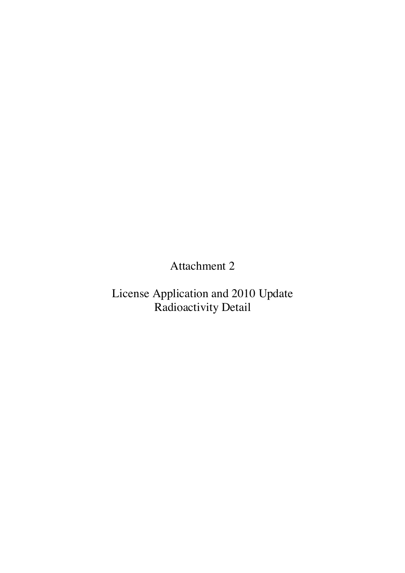Attachment 2

License Application and 2010 Update Radioactivity Detail